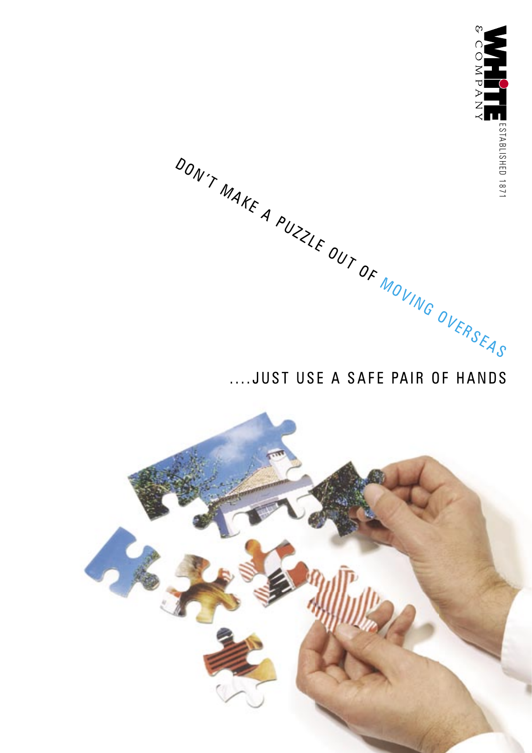

OVERSEA.

# ....JUST USE A SAFE PAIR OF HANDS

OF MOVING



 $\sum_{\mu}$   $\sum_{\mu}$   $\sum_{\mu}$ 

MAKE A

PUZZLE OUT

DON  $\gamma$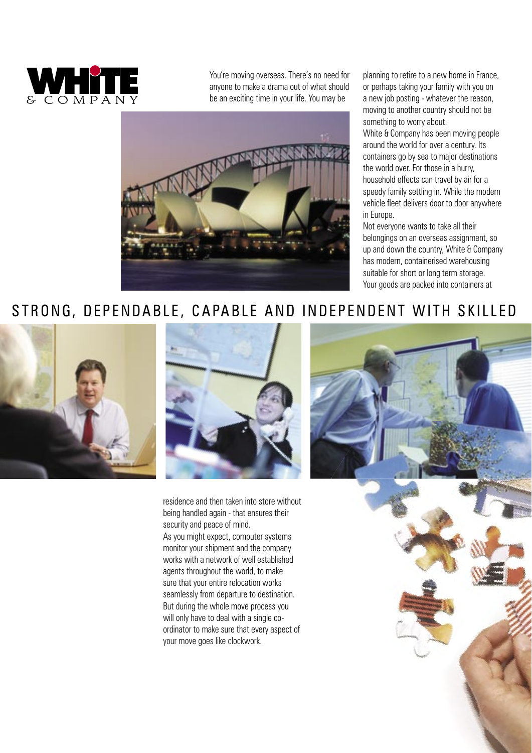![](_page_1_Picture_0.jpeg)

You're moving overseas. There's no need for anyone to make a drama out of what should be an exciting time in your life. You may be

![](_page_1_Picture_2.jpeg)

planning to retire to a new home in France, or perhaps taking your family with you on a new job posting - whatever the reason, moving to another country should not be something to worry about.

White & Company has been moving people around the world for over a century. Its containers go by sea to major destinations the world over. For those in a hurry, household effects can travel by air for a speedy family settling in. While the modern vehicle fleet delivers door to door anywhere in Europe.

Not everyone wants to take all their belongings on an overseas assignment, so up and down the country, White & Company has modern, containerised warehousing suitable for short or long term storage. Your goods are packed into containers at

### STRONG, DEPENDABLE, CAPABLE AND INDEPENDENT WITH SKILLED

![](_page_1_Picture_7.jpeg)

![](_page_1_Picture_8.jpeg)

residence and then taken into store without being handled again - that ensures their security and peace of mind.

As you might expect, computer systems monitor your shipment and the company works with a network of well established agents throughout the world, to make sure that your entire relocation works seamlessly from departure to destination. But during the whole move process you will only have to deal with a single coordinator to make sure that every aspect of your move goes like clockwork.

![](_page_1_Picture_11.jpeg)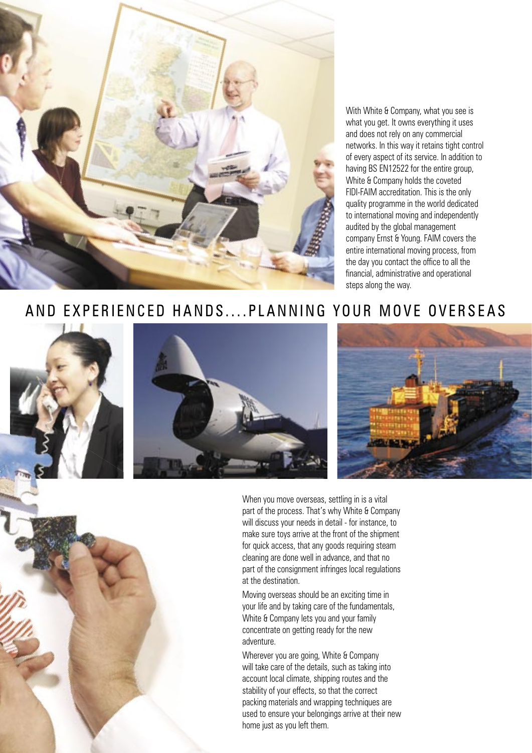![](_page_2_Picture_0.jpeg)

With White & Company, what you see is what you get. It owns everything it uses and does not rely on any commercial networks. In this way it retains tight control of every aspect of its service. In addition to having BS EN12522 for the entire group, White & Company holds the coveted FIDI-FAIM accreditation. This is the only quality programme in the world dedicated to international moving and independently audited by the global management company Ernst & Young. FAIM covers the entire international moving process, from the day you contact the office to all the financial, administrative and operational steps along the way.

### AND EXPERIENCED HANDS....PLANNING YOUR MOVE OVERSEAS

![](_page_2_Picture_3.jpeg)

When you move overseas, settling in is a vital part of the process. That's why White & Company will discuss your needs in detail - for instance, to make sure toys arrive at the front of the shipment for quick access, that any goods requiring steam cleaning are done well in advance, and that no part of the consignment infringes local regulations at the destination.

Moving overseas should be an exciting time in your life and by taking care of the fundamentals, White & Company lets you and your family concentrate on getting ready for the new adventure.

Wherever you are going, White & Company will take care of the details, such as taking into account local climate, shipping routes and the stability of your effects, so that the correct packing materials and wrapping techniques are used to ensure your belongings arrive at their new home just as you left them.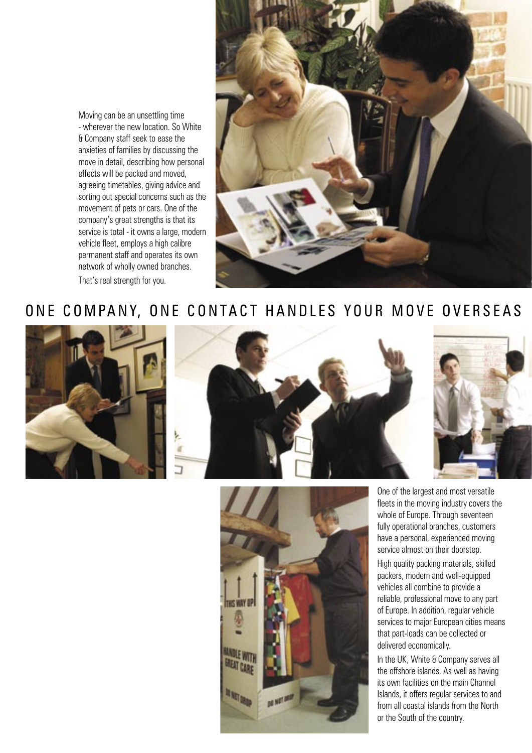Moving can be an unsettling time - wherever the new location. So White & Company staff seek to ease the anxieties of families by discussing the move in detail, describing how personal effects will be packed and moved, agreeing timetables, giving advice and sorting out special concerns such as the movement of pets or cars. One of the company's great strengths is that its service is total - it owns a large, modern vehicle fleet, employs a high calibre permanent staff and operates its own network of wholly owned branches. That's real strength for you.

![](_page_3_Picture_1.jpeg)

## ONE COMPANY, ONE CONTACT HANDLES YOUR MOVE OVERSEAS

![](_page_3_Picture_3.jpeg)

![](_page_3_Picture_4.jpeg)

One of the largest and most versatile fleets in the moving industry covers the whole of Europe. Through seventeen fully operational branches, customers have a personal, experienced moving service almost on their doorstep.

High quality packing materials, skilled packers, modern and well-equipped vehicles all combine to provide a reliable, professional move to any part of Europe. In addition, regular vehicle services to major European cities means that part-loads can be collected or delivered economically.

In the UK, White & Company serves all the offshore islands. As well as having its own facilities on the main Channel Islands, it offers regular services to and from all coastal islands from the North or the South of the country.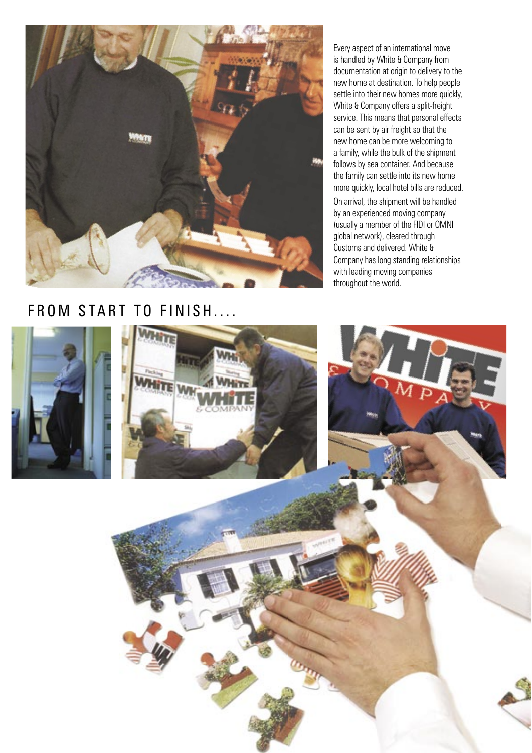![](_page_4_Picture_0.jpeg)

Every aspect of an international move is handled by White & Company from documentation at origin to delivery to the new home at destination. To help people settle into their new homes more quickly, White & Company offers a split-freight service. This means that personal effects can be sent by air freight so that the new home can be more welcoming to a family, while the bulk of the shipment follows by sea container. And because the family can settle into its new home more quickly, local hotel bills are reduced. On arrival, the shipment will be handled by an experienced moving company (usually a member of the FIDI or OMNI global network), cleared through Customs and delivered. White & Company has long standing relationships with leading moving companies throughout the world.

#### FROM START TO FINISH....

![](_page_4_Picture_3.jpeg)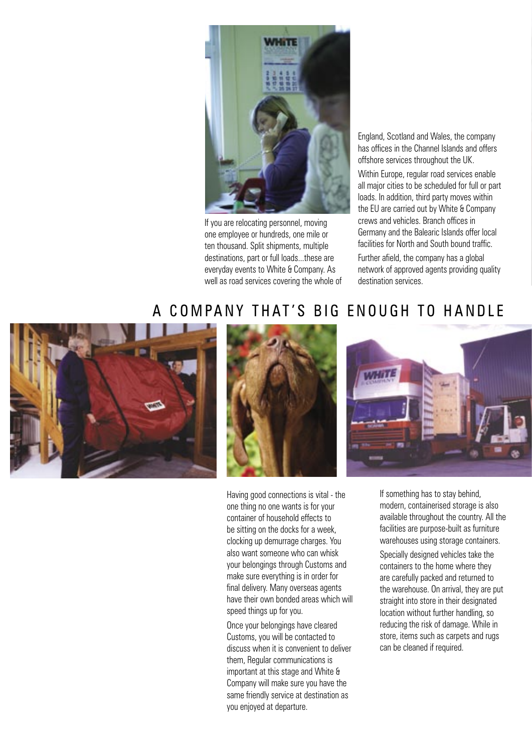![](_page_5_Picture_0.jpeg)

If you are relocating personnel, moving one employee or hundreds, one mile or ten thousand. Split shipments, multiple destinations, part or full loads...these are everyday events to White & Company. As well as road services covering the whole of England, Scotland and Wales, the company has offices in the Channel Islands and offers offshore services throughout the UK.

Within Europe, regular road services enable all major cities to be scheduled for full or part loads. In addition, third party moves within the EU are carried out by White & Company crews and vehicles. Branch offices in Germany and the Balearic Islands offer local facilities for North and South bound traffic.

Further afield, the company has a global network of approved agents providing quality destination services.

### A COMPANY THAT'S BIG ENOUGH TO HANDLE

![](_page_5_Picture_6.jpeg)

![](_page_5_Picture_7.jpeg)

Having good connections is vital - the one thing no one wants is for your container of household effects to be sitting on the docks for a week, clocking up demurrage charges. You also want someone who can whisk your belongings through Customs and make sure everything is in order for final delivery. Many overseas agents have their own bonded areas which will speed things up for you.

Once your belongings have cleared Customs, you will be contacted to discuss when it is convenient to deliver them, Regular communications is important at this stage and White & Company will make sure you have the same friendly service at destination as you enjoyed at departure.

![](_page_5_Picture_10.jpeg)

If something has to stay behind, modern, containerised storage is also available throughout the country. All the facilities are purpose-built as furniture warehouses using storage containers.

Specially designed vehicles take the containers to the home where they are carefully packed and returned to the warehouse. On arrival, they are put straight into store in their designated location without further handling, so reducing the risk of damage. While in store, items such as carpets and rugs can be cleaned if required.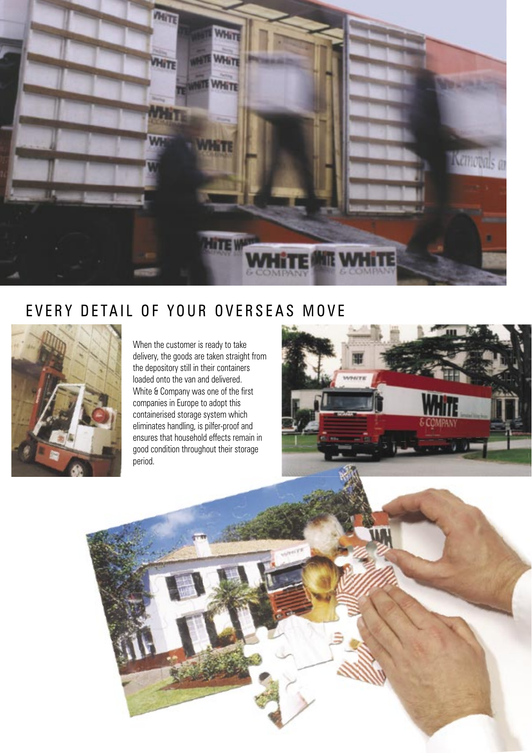![](_page_6_Picture_0.jpeg)

### EVERY DETAIL OF YOUR OVERSEAS MOVE

![](_page_6_Picture_2.jpeg)

When the customer is ready to take delivery, the goods are taken straight from the depository still in their containers loaded onto the van and delivered. White & Company was one of the first companies in Europe to adopt this containerised storage system which eliminates handling, is pilfer-proof and ensures that household effects remain in good condition throughout their storage period.

![](_page_6_Picture_4.jpeg)